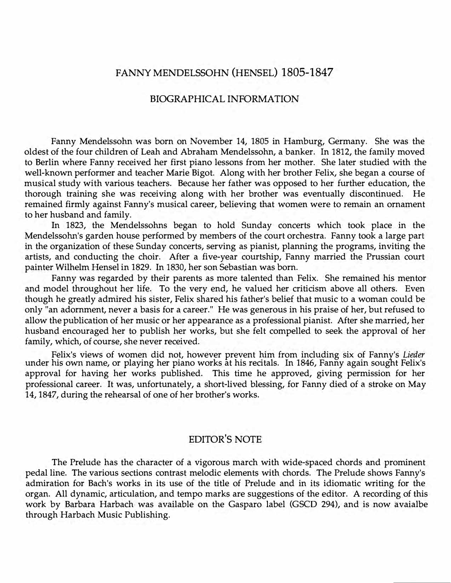## FANNY MENDELSSOHN (HENSEL) 1805-1847

## BIOGRAPHICAL INFORMATION

Fanny Mendelssohn was born on November 14, 1805 in Hamburg, Germany. She was the oldest of the four children of Leah and Abraham Mendelssohn, a banker. In 1812, the family moved to Berlin where Fanny received her first piano lessons from her mother. She later studied with the well-known performer and teacher Marie Bigot. Along with her brother Felix, she began a course of musical study with various teachers. Because her father was opposed to her further education, the thorough training she was receiving along with her brother was eventually discontinued. He remained firmly against Fanny's musical career, believing that women were to remain an ornament to her husband and family.

In 1823, the Mendelssohns began to hold Sunday concerts which took place in the Mendelssohn's garden house performed by members of the court orchestra. Fanny took a large part in the organization of these Sunday concerts, serving as pianist, planning the programs, inviting the artists, and conducting the choir. After a five-year courtship, Fanny married the Prussian court painter Wilhelm Hensel in 1829. In 1830, her son Sebastian was born.

Fanny was regarded by their parents as more talented than Felix. She remained his mentor and model throughout her life. To the very end, he valued her criticism above all others. Even though he greatly admired his sister, Felix shared his father's belief that music to a woman could be only "an adornment, never a basis for a career." He was generous in his praise of her, but refused to allow the publication of her music or her appearance as a professional pianist. After she married, her husband encouraged her to publish her works, but she felt compelled to seek the approval of her family, which, of course, she never received.

Felix's views of women did not, however prevent him from including six of Fanny's *Lieder* under his own name, or playing her piano works at his recitals. In 1846, Fanny again sought Felix's approval for having her works published. This time he approved, giving permission for her professional career. It was, unfortunately, a short-lived blessing, for Fanny died of a stroke on May 14, 1847, during the rehearsal of one of her brother's works.

## EDITOR'S NOTE

The Prelude has the character of a vigorous march with wide-spaced chords and prominent pedal line. The various sections contrast melodic elements with chords. The Prelude shows Fanny's admiration for Bach's works in its use of the title of Prelude and in its idiomatic writing for the organ. All dynamic, articulation, and tempo marks are suggestions of the editor. A recording of this work by Barbara Harbach was available on the Gasparo label (GSCD 294), and is now avaialbe through Harbach Music Publishing.